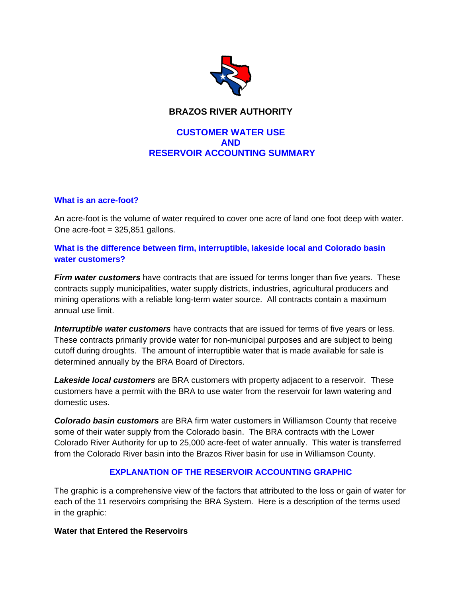

# **BRAZOS RIVER AUTHORITY**

## **CUSTOMER WATER USE AND RESERVOIR ACCOUNTING SUMMARY**

#### **What is an acre-foot?**

An acre-foot is the volume of water required to cover one acre of land one foot deep with water. One acre-foot  $= 325,851$  gallons.

### **What is the difference between firm, interruptible, lakeside local and Colorado basin water customers?**

*Firm water customers* have contracts that are issued for terms longer than five years. These contracts supply municipalities, water supply districts, industries, agricultural producers and mining operations with a reliable long-term water source. All contracts contain a maximum annual use limit.

*Interruptible water customers* have contracts that are issued for terms of five years or less. These contracts primarily provide water for non-municipal purposes and are subject to being cutoff during droughts. The amount of interruptible water that is made available for sale is determined annually by the BRA Board of Directors.

*Lakeside local customers* are BRA customers with property adjacent to a reservoir. These customers have a permit with the BRA to use water from the reservoir for lawn watering and domestic uses.

*Colorado basin customers* are BRA firm water customers in Williamson County that receive some of their water supply from the Colorado basin. The BRA contracts with the Lower Colorado River Authority for up to 25,000 acre-feet of water annually. This water is transferred from the Colorado River basin into the Brazos River basin for use in Williamson County.

### **EXPLANATION OF THE RESERVOIR ACCOUNTING GRAPHIC**

The graphic is a comprehensive view of the factors that attributed to the loss or gain of water for each of the 11 reservoirs comprising the BRA System. Here is a description of the terms used in the graphic:

#### **Water that Entered the Reservoirs**